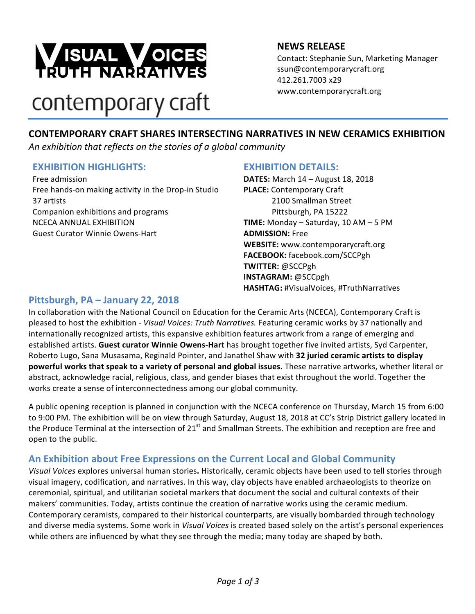

# **NEWS RELEASE**

Contact: Stephanie Sun, Marketing Manager ssun@contemporarycraft.org 412.261.7003 x29 www.contemporarycraft.org

# contemporary craft

# **CONTEMPORARY CRAFT SHARES INTERSECTING NARRATIVES IN NEW CERAMICS EXHIBITION**

*An exhibition that reflects on the stories of a global community*

#### **EXHIBITION HIGHLIGHTS:**

Free admission Free hands-on making activity in the Drop-in Studio 37 artists Companion exhibitions and programs NCECA ANNUAL EXHIBITION Guest Curator Winnie Owens-Hart

#### **EXHIBITION DETAILS:**

**DATES:** March 14 - August 18, 2018 **PLACE:** Contemporary Craft 2100 Smallman Street Pittsburgh, PA 15222 **TIME:** Monday  $-$  Saturday, 10 AM  $-$  5 PM **ADMISSION:** Free **WEBSITE:** www.contemporarycraft.org **FACEBOOK:** facebook.com/SCCPgh **TWITTER:** @SCCPgh **INSTAGRAM:** @SCCpgh HASHTAG: #VisualVoices, #TruthNarratives

# **Pittsburgh, PA – January 22, 2018**

In collaboration with the National Council on Education for the Ceramic Arts (NCECA), Contemporary Craft is pleased to host the exhibition - *Visual Voices: Truth Narratives.* Featuring ceramic works by 37 nationally and internationally recognized artists, this expansive exhibition features artwork from a range of emerging and established artists. Guest curator Winnie Owens-Hart has brought together five invited artists, Syd Carpenter, Roberto Lugo, Sana Musasama, Reginald Pointer, and Janathel Shaw with 32 juried ceramic artists to display **powerful works that speak to a variety of personal and global issues.** These narrative artworks, whether literal or abstract, acknowledge racial, religious, class, and gender biases that exist throughout the world. Together the works create a sense of interconnectedness among our global community.

A public opening reception is planned in conjunction with the NCECA conference on Thursday, March 15 from 6:00 to 9:00 PM. The exhibition will be on view through Saturday, August 18, 2018 at CC's Strip District gallery located in the Produce Terminal at the intersection of  $21^{st}$  and Smallman Streets. The exhibition and reception are free and open to the public.

# An Exhibition about Free Expressions on the Current Local and Global Community

Visual Voices explores universal human stories. Historically, ceramic objects have been used to tell stories through visual imagery, codification, and narratives. In this way, clay objects have enabled archaeologists to theorize on ceremonial, spiritual, and utilitarian societal markers that document the social and cultural contexts of their makers' communities. Today, artists continue the creation of narrative works using the ceramic medium. Contemporary ceramists, compared to their historical counterparts, are visually bombarded through technology and diverse media systems. Some work in *Visual Voices* is created based solely on the artist's personal experiences while others are influenced by what they see through the media; many today are shaped by both.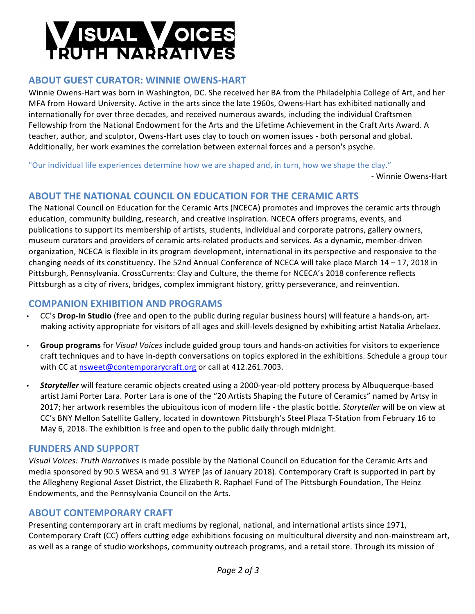# **SUAL VOICES**<br>RUTH NARRATIVES

# **ABOUT GUEST CURATOR: WINNIE OWENS-HART**

Winnie Owens-Hart was born in Washington, DC. She received her BA from the Philadelphia College of Art, and her MFA from Howard University. Active in the arts since the late 1960s, Owens-Hart has exhibited nationally and internationally for over three decades, and received numerous awards, including the individual Craftsmen Fellowship from the National Endowment for the Arts and the Lifetime Achievement in the Craft Arts Award. A teacher, author, and sculptor, Owens-Hart uses clay to touch on women issues - both personal and global. Additionally, her work examines the correlation between external forces and a person's psyche.

"Our individual life experiences determine how we are shaped and, in turn, how we shape the clay."

- Winnie Owens-Hart

# **ABOUT THE NATIONAL COUNCIL ON EDUCATION FOR THE CERAMIC ARTS**

The National Council on Education for the Ceramic Arts (NCECA) promotes and improves the ceramic arts through education, community building, research, and creative inspiration. NCECA offers programs, events, and publications to support its membership of artists, students, individual and corporate patrons, gallery owners, museum curators and providers of ceramic arts-related products and services. As a dynamic, member-driven organization, NCECA is flexible in its program development, international in its perspective and responsive to the changing needs of its constituency. The 52nd Annual Conference of NCECA will take place March  $14 - 17$ , 2018 in Pittsburgh, Pennsylvania. CrossCurrents: Clay and Culture, the theme for NCECA's 2018 conference reflects Pittsburgh as a city of rivers, bridges, complex immigrant history, gritty perseverance, and reinvention.

# **COMPANION EXHIBITION AND PROGRAMS**

- CC's Drop-In Studio (free and open to the public during regular business hours) will feature a hands-on, artmaking activity appropriate for visitors of all ages and skill-levels designed by exhibiting artist Natalia Arbelaez.
- Group programs for *Visual Voices* include guided group tours and hands-on activities for visitors to experience craft techniques and to have in-depth conversations on topics explored in the exhibitions. Schedule a group tour with CC at nsweet@contemporarycraft.org or call at 412.261.7003.
- **Storyteller** will feature ceramic objects created using a 2000-year-old pottery process by Albuquerque-based artist Jami Porter Lara. Porter Lara is one of the "20 Artists Shaping the Future of Ceramics" named by Artsy in 2017; her artwork resembles the ubiquitous icon of modern life - the plastic bottle. *Storyteller* will be on view at CC's BNY Mellon Satellite Gallery, located in downtown Pittsburgh's Steel Plaza T-Station from February 16 to May 6, 2018. The exhibition is free and open to the public daily through midnight.

# **FUNDERS AND SUPPORT**

Visual Voices: Truth Narratives is made possible by the National Council on Education for the Ceramic Arts and media sponsored by 90.5 WESA and 91.3 WYEP (as of January 2018). Contemporary Craft is supported in part by the Allegheny Regional Asset District, the Elizabeth R. Raphael Fund of The Pittsburgh Foundation, The Heinz Endowments, and the Pennsylvania Council on the Arts.

# **ABOUT CONTEMPORARY CRAFT**

Presenting contemporary art in craft mediums by regional, national, and international artists since 1971, Contemporary Craft (CC) offers cutting edge exhibitions focusing on multicultural diversity and non-mainstream art, as well as a range of studio workshops, community outreach programs, and a retail store. Through its mission of